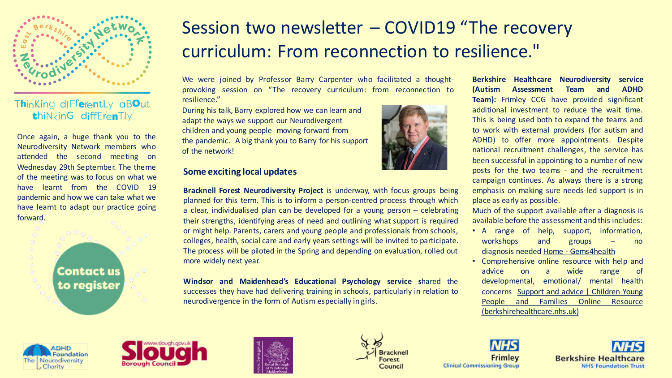

### Thinking differently aBOut thiNkinG diffErenTly

Once again, a huge thank you to the Neurodiversity Network members who attended the second meeting on Wednesday 29th September. The theme of the meeting was to focus on what we have learnt from the COVID 19 pandemic and how we can take what we have learnt to adapt our practice going forward.

> **Contact us** to register

# Session two newsletter – COVID19 "The recovery curriculum: From reconnection to resilience."

We were joined by Professor Barry Carpenter who facilitated a thoughtprovoking session on "The recovery curriculum: from reconnection to resilience."

During his talk, Barry explored how we can learn and adapt the ways we support our Neurodivergent children and young people moving forward from the pandemic. A big thank you to Barry for his support of the network!

#### **Some exciting local updates**

**Bracknell Forest Neurodiversity Project** is underway, with focus groups being planned for this term. This is to inform a person-centred process through which a clear, individualised plan can be developed for a young person – celebrating their strengths, identifying areas of need and outlining what support is required or might help. Parents, carers and young people and professionals from schools, colleges, health, social care and early years settings will be invited to participate. The process will be piloted in the Spring and depending on evaluation, rolled out more widely next year.

**Windsor and Maidenhead's Educational Psychology service s**hared the successes they have had delivering training in schools, particularly in relation to neurodivergence in the form of Autism especially in girls.



**Berkshire Healthcare Neurodiversity service (Autism Assessment Team and ADHD Team):** Frimley CCG have provided significant additional investment to reduce the wait time. This is being used both to expand the teams and to work with external providers (for autism and ADHD) to offer more appointments. Despite national recruitment challenges, the service has been successful in appointing to a number of new posts for the two teams - and the recruitment campaign continues. As always there is a strong emphasis on making sure needs-led support is in place as early as possible.

Much of the support available after a diagnosis is available before the assessment and this includes:

- A range of help, support, information, workshops and groups – no diagnosis needed Home - [Gems4health](https://gbr01.safelinks.protection.outlook.com/?url=https%3A%2F%2Fwww.gems4health.com%2F&data=04%7C01%7CEmma.Weaver%40adhdfoundation.org.uk%7C30642a80b29148981fb908d9924eabda%7C38c2957423924df28ef2bfe5a69d36ef%7C0%7C0%7C637701688860269839%7CUnknown%7CTWFpbGZsb3d8eyJWIjoiMC4wLjAwMDAiLCJQIjoiV2luMzIiLCJBTiI6Ik1haWwiLCJXVCI6Mn0%3D%7C1000&sdata=%2FoyDzLjHBwAbTbOF94P2jAs1a7TUjFQYiO6aKya7Bwc%3D&reserved=0)
- Comprehensive online resource with help and advice on a wide range of developmental, emotional/ mental health concerns Support and advice | Children Young People and Families Online Resource [\(berkshirehealthcare.nhs.uk\)](https://gbr01.safelinks.protection.outlook.com/?url=https%3A%2F%2Fcypf.berkshirehealthcare.nhs.uk%2Fsupport-and-advice%2F&data=04%7C01%7CEmma.Weaver%40adhdfoundation.org.uk%7C30642a80b29148981fb908d9924eabda%7C38c2957423924df28ef2bfe5a69d36ef%7C0%7C0%7C637701688860269839%7CUnknown%7CTWFpbGZsb3d8eyJWIjoiMC4wLjAwMDAiLCJQIjoiV2luMzIiLCJBTiI6Ik1haWwiLCJXVCI6Mn0%3D%7C1000&sdata=iCc3Z16h%2Fiy9sFkmG2i2sRINleFWQSavrqx6xiKpZGE%3D&reserved=0)









Frimley **Clinical Commissioning Group**